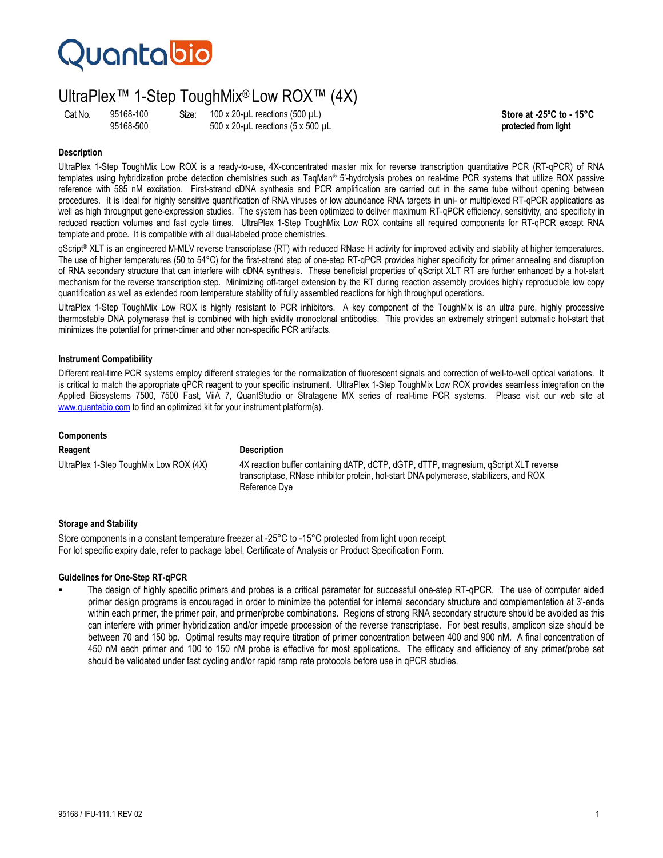## **Quantabio**

### UltraPlex™ 1-Step ToughMix® Low ROX™ (4X)

Cat No. 95168-100 Size: 100 x 20-µL reactions (500 µL)<br>95168-500 500 x 20-µL reactions (5 x 500 µL **Store at -25°C to - 15°C** 95168-500 500 x 20-µL reactions (5 x 500 µL **protected from light**

#### **Description**

UltraPlex 1-Step ToughMix Low ROX is a ready-to-use, 4X-concentrated master mix for reverse transcription quantitative PCR (RT-qPCR) of RNA templates using hybridization probe detection chemistries such as TaqMan® 5'-hydrolysis probes on real-time PCR systems that utilize ROX passive reference with 585 nM excitation. First-strand cDNA synthesis and PCR amplification are carried out in the same tube without opening between procedures. It is ideal for highly sensitive quantification of RNA viruses or low abundance RNA targets in uni- or multiplexed RT-qPCR applications as well as high throughput gene-expression studies. The system has been optimized to deliver maximum RT-qPCR efficiency, sensitivity, and specificity in reduced reaction volumes and fast cycle times. UltraPlex 1-Step ToughMix Low ROX contains all required components for RT-qPCR except RNA template and probe. It is compatible with all dual-labeled probe chemistries.

qScript<sup>®</sup> XLT is an engineered M-MLV reverse transcriptase (RT) with reduced RNase H activity for improved activity and stability at higher temperatures. The use of higher temperatures (50 to 54°C) for the first-strand step of one-step RT-qPCR provides higher specificity for primer annealing and disruption of RNA secondary structure that can interfere with cDNA synthesis. These beneficial properties of qScript XLT RT are further enhanced by a hot-start mechanism for the reverse transcription step. Minimizing off-target extension by the RT during reaction assembly provides highly reproducible low copy quantification as well as extended room temperature stability of fully assembled reactions for high throughput operations.

UltraPlex 1-Step ToughMix Low ROX is highly resistant to PCR inhibitors. A key component of the ToughMix is an ultra pure, highly processive thermostable DNA polymerase that is combined with high avidity monoclonal antibodies. This provides an extremely stringent automatic hot-start that minimizes the potential for primer-dimer and other non-specific PCR artifacts.

#### **Instrument Compatibility**

Different real-time PCR systems employ different strategies for the normalization of fluorescent signals and correction of well-to-well optical variations. It is critical to match the appropriate qPCR reagent to your specific instrument. UltraPlex 1-Step ToughMix Low ROX provides seamless integration on the Applied Biosystems 7500, 7500 Fast, ViiA 7, QuantStudio or Stratagene MX series of real-time PCR systems. Please visit our web site at www.quantabio.com to find an optimized kit for your instrument platform(s).

#### **Components**

#### **Reagent Description**

UltraPlex 1-Step ToughMix Low ROX (4X) 4X reaction buffer containing dATP, dCTP, dGTP, dTTP, magnesium, qScript XLT reverse transcriptase, RNase inhibitor protein, hot-start DNA polymerase, stabilizers, and ROX Reference Dye

#### **Storage and Stability**

Store components in a constant temperature freezer at -25°C to -15°C protected from light upon receipt. For lot specific expiry date, refer to package label, Certificate of Analysis or Product Specification Form.

#### **Guidelines for One-Step RT-qPCR**

 The design of highly specific primers and probes is a critical parameter for successful one-step RT-qPCR. The use of computer aided primer design programs is encouraged in order to minimize the potential for internal secondary structure and complementation at 3'-ends within each primer, the primer pair, and primer/probe combinations. Regions of strong RNA secondary structure should be avoided as this can interfere with primer hybridization and/or impede procession of the reverse transcriptase. For best results, amplicon size should be between 70 and 150 bp. Optimal results may require titration of primer concentration between 400 and 900 nM. A final concentration of 450 nM each primer and 100 to 150 nM probe is effective for most applications. The efficacy and efficiency of any primer/probe set should be validated under fast cycling and/or rapid ramp rate protocols before use in qPCR studies.